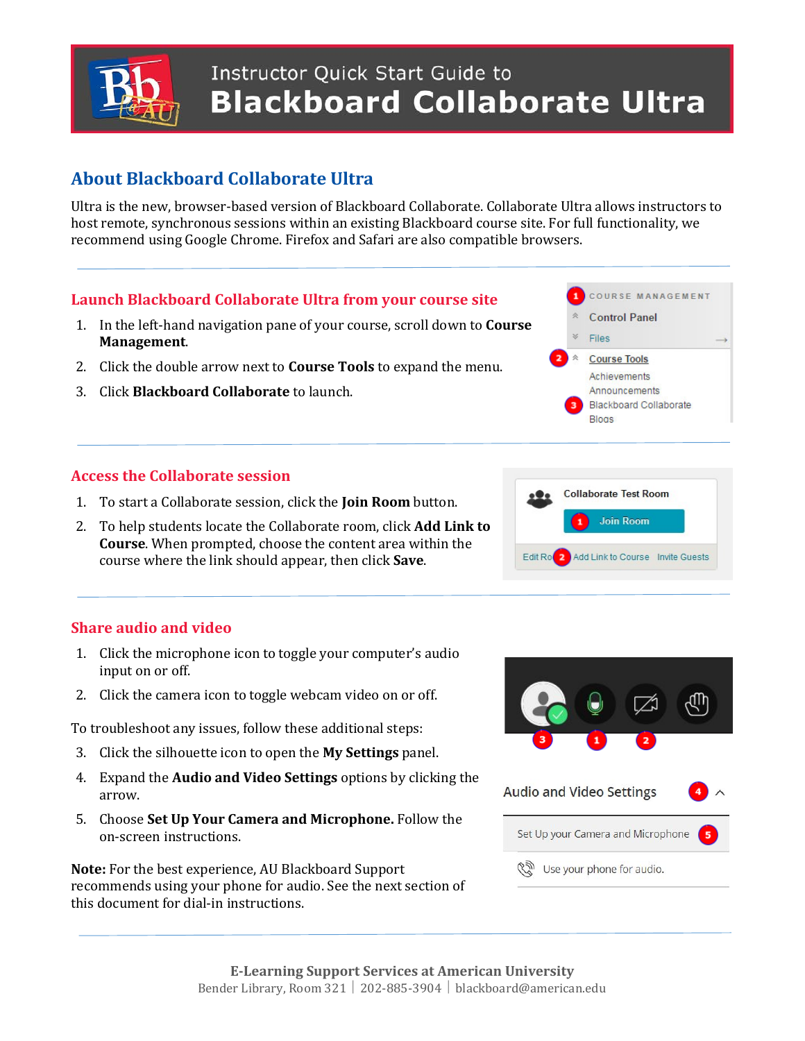

## **Instructor Quick Start Guide to Blackboard Collaborate Ultra**

### **About Blackboard Collaborate Ultra**

Ultra is the new, browser-based version of Blackboard Collaborate. Collaborate Ultra allows instructors to host remote, synchronous sessions within an existing Blackboard course site. For full functionality, we recommend using Google Chrome. Firefox and Safari are also compatible browsers.

#### **Launch Blackboard Collaborate Ultra from your course site**

- 1. In the left-hand navigation pane of your course, scroll down to **Course Management**.
- 2. Click the double arrow next to **Course Tools** to expand the menu.
- 3. Click **Blackboard Collaborate** to launch.

#### **Access the Collaborate session**

- 1. To start a Collaborate session, click the **Join Room** button.
- 2. To help students locate the Collaborate room, click **Add Link to Course**. When prompted, choose the content area within the course where the link should appear, then click **Save**.





#### **Share audio and video**

- 1. Click the microphone icon to toggle your computer's audio input on or off.
- 2. Click the camera icon to toggle webcam video on or off.

To troubleshoot any issues, follow these additional steps:

- 3. Click the silhouette icon to open the **My Settings** panel.
- 4. Expand the **Audio and Video Settings** options by clicking the arrow.
- 5. Choose **Set Up Your Camera and Microphone.** Follow the on-screen instructions.

**Note:** For the best experience, AU Blackboard Support recommends using your phone for audio. See the next section of this document for dial-in instructions.

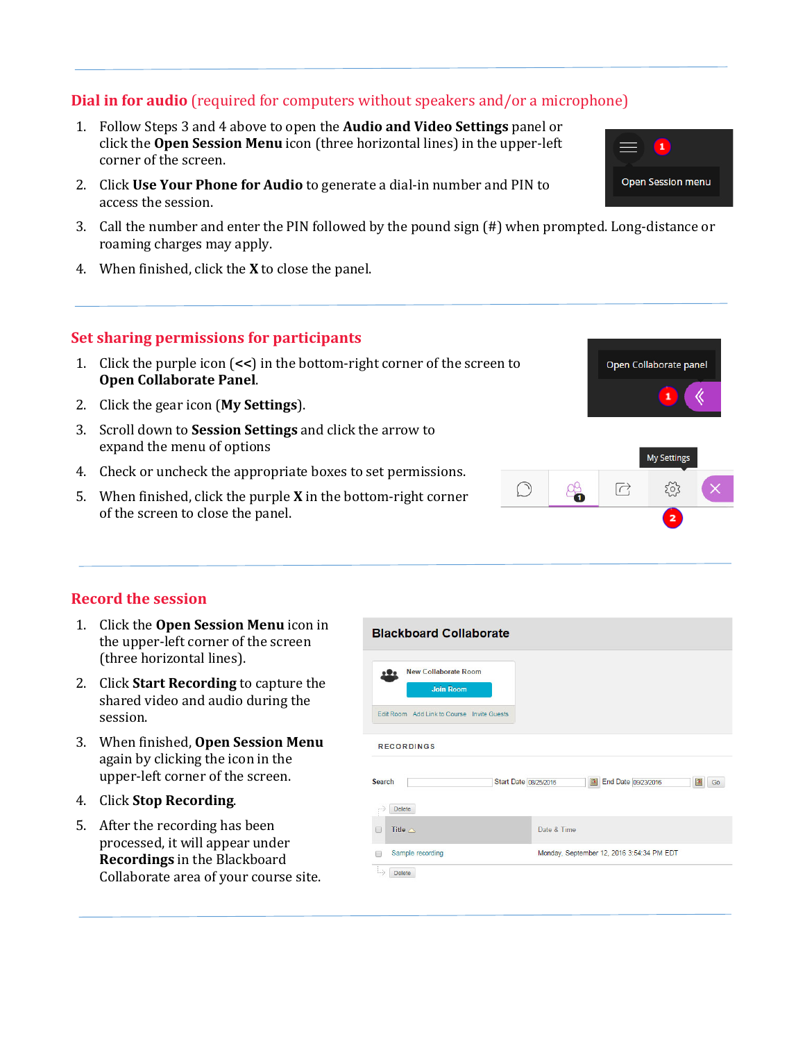#### **Dial in for audio** (required for computers without speakers and/or a microphone)

- 1. Follow Steps 3 and 4 above to open the **Audio and Video Settings** panel or click the **Open Session Menu** icon (three horizontal lines) in the upper-left corner of the screen.
- 2. Click **Use Your Phone for Audio** to generate a dial-in number and PIN to access the session.
- 3. Call the number and enter the PIN followed by the pound sign (#) when prompted. Long-distance or roaming charges may apply.
- 4. When finished, click the **X** to close the panel.

#### **Set sharing permissions for participants**

- 1. Click the purple icon (**<<**) in the bottom-right corner of the screen to **Open Collaborate Panel**.
- 2. Click the gear icon (**My Settings**).
- 3. Scroll down to **Session Settings** and click the arrow to expand the menu of options
- 4. Check or uncheck the appropriate boxes to set permissions.
- 5. When finished, click the purple **X** in the bottom-right corner of the screen to close the panel.

#### **Record the session**

- 1. Click the **Open Session Menu** icon in the upper-left corner of the screen (three horizontal lines).
- 2. Click **Start Recording** to capture the shared video and audio during the session.
- 3. When finished, **Open Session Menu** again by clicking the icon in the upper-left corner of the screen.
- 4. Click **Stop Recording**.
- 5. After the recording has been processed, it will appear under **Recordings** in the Blackboard Collaborate area of your course site.





Open Collaborate panel

 $\mathbf{1}$ 

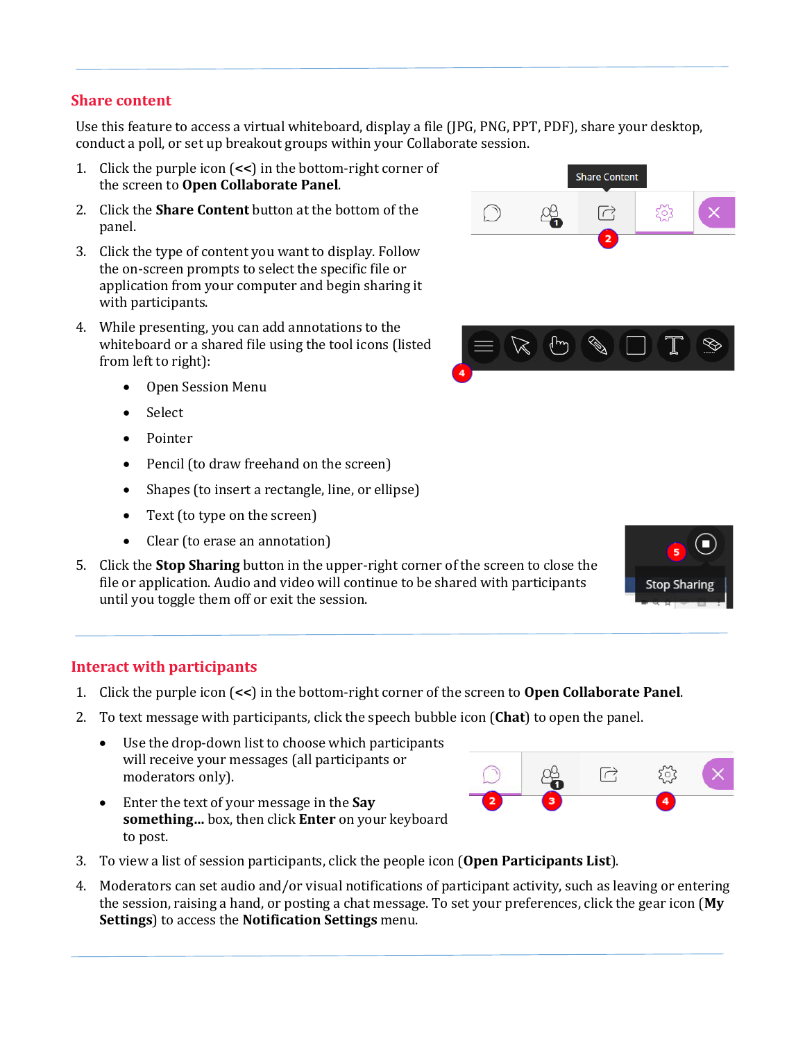#### **Share content**

Use this feature to access a virtual whiteboard, display a file (JPG, PNG, PPT, PDF), share your desktop, conduct a poll, or set up breakout groups within your Collaborate session.

- 1. Click the purple icon (**<<**) in the bottom-right corner of the screen to **Open Collaborate Panel**.
- 2. Click the **Share Content** button at the bottom of the panel.
- 3. Click the type of content you want to display. Follow the on-screen prompts to select the specific file or application from your computer and begin sharing it with participants.
- 4. While presenting, you can add annotations to the whiteboard or a shared file using the tool icons (listed from left to right):
	- Open Session Menu
	- Select
	- Pointer
	- Pencil (to draw freehand on the screen)
	- Shapes (to insert a rectangle, line, or ellipse)
	- Text (to type on the screen)
	- Clear (to erase an annotation)
- 5. Click the **Stop Sharing** button in the upper-right corner of the screen to close the file or application. Audio and video will continue to be shared with participants until you toggle them off or exit the session.

# **Stop Sharing**

#### **Interact with participants**

- 1. Click the purple icon (**<<**) in the bottom-right corner of the screen to **Open Collaborate Panel**.
- 2. To text message with participants, click the speech bubble icon (**Chat**) to open the panel.
	- Use the drop-down list to choose which participants will receive your messages (all participants or moderators only).
- $\Box$
- Enter the text of your message in the **Say something…** box, then click **Enter** on your keyboard to post.
- 3. To view a list of session participants, click the people icon (**Open Participants List**).
- 4. Moderators can set audio and/or visual notifications of participant activity, such as leaving or entering the session, raising a hand, or posting a chat message. To set your preferences, click the gear icon (**My Settings**) to access the **Notification Settings** menu.